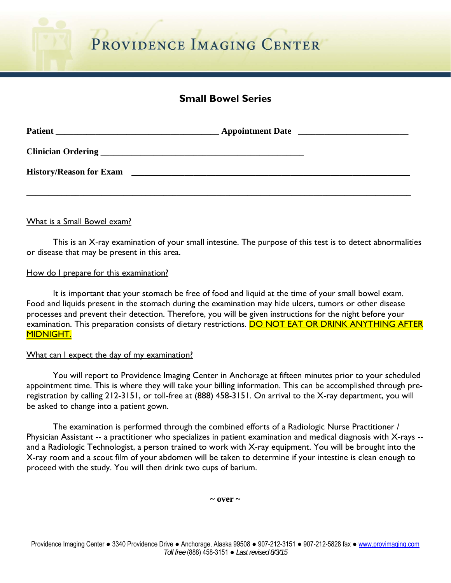# **Small Bowel Series**

| <b>Patient</b>                 |  |
|--------------------------------|--|
|                                |  |
| <b>History/Reason for Exam</b> |  |
|                                |  |

# What is a Small Bowel exam?

 This is an X-ray examination of your small intestine. The purpose of this test is to detect abnormalities or disease that may be present in this area.

### How do I prepare for this examination?

 It is important that your stomach be free of food and liquid at the time of your small bowel exam. Food and liquids present in the stomach during the examination may hide ulcers, tumors or other disease processes and prevent their detection. Therefore, you will be given instructions for the night before your examination. This preparation consists of dietary restrictions. DO NOT EAT OR DRINK ANYTHING AFTER MIDNIGHT.

#### What can I expect the day of my examination?

 You will report to Providence Imaging Center in Anchorage at fifteen minutes prior to your scheduled appointment time. This is where they will take your billing information. This can be accomplished through preregistration by calling 212-3151, or toll-free at (888) 458-3151. On arrival to the X-ray department, you will be asked to change into a patient gown.

 The examination is performed through the combined efforts of a Radiologic Nurse Practitioner / Physician Assistant -- a practitioner who specializes in patient examination and medical diagnosis with X-rays - and a Radiologic Technologist, a person trained to work with X-ray equipment. You will be brought into the X-ray room and a scout film of your abdomen will be taken to determine if your intestine is clean enough to proceed with the study. You will then drink two cups of barium.

 $\sim$  over  $\sim$